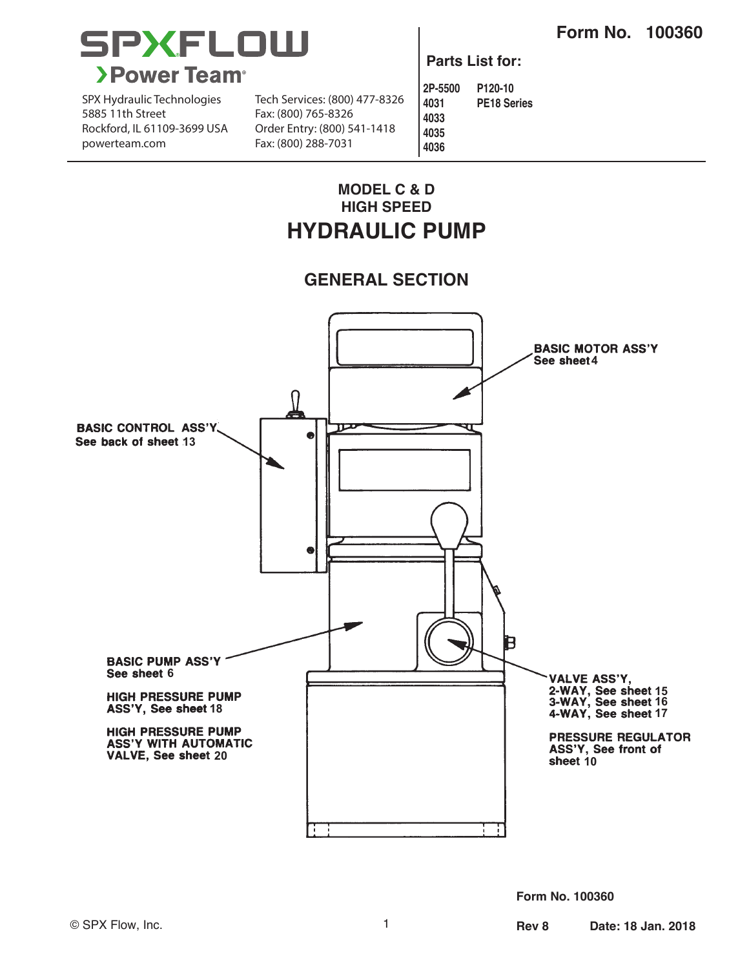

SPX Hydraulic Technologies 5885 11th Street Rockford, IL 61109-3699 USA powerteam.com Fax: (800) 288-7031

Tech Services: (800) 477-8326 Fax: (800) 765-8326 Order Entry: (800) 541-1418

**Parts List for:**

**2P-5500 P120-10 4031 PE18 Series 4033 4035 4036** 

### **MODEL C & D HIGH SPEED HYDRAULIC PUMP**

#### **GENERAL SECTION**

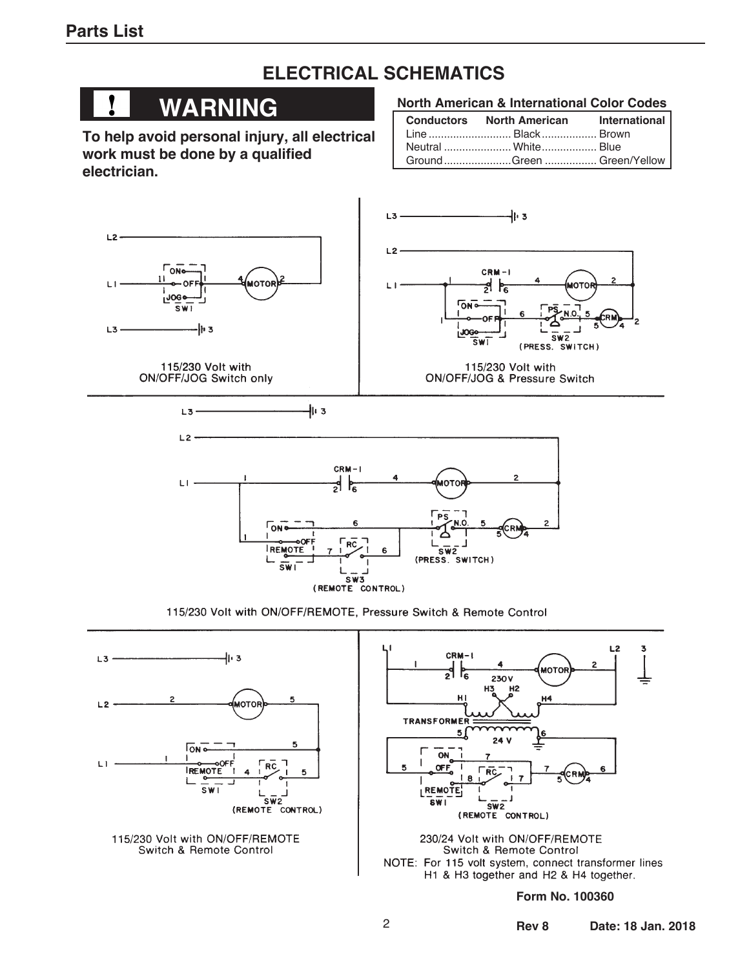# **ELECTRICAL SCHEMATICS**

 $L3$ 

# **WARNING**

**To help avoid personal injury, all electrical work must be done by a qualified electrician.**

#### **North American & International Color Codes**

| Conductors North American International |  |
|-----------------------------------------|--|
| Line  Black  Brown                      |  |
| Neutral  White  Blue                    |  |
|                                         |  |



115/230 Volt with ON/OFF/JOG Switch only



לן⊦

115/230 Volt with ON/OFF/JOG & Pressure Switch



115/230 Volt with ON/OFF/REMOTE, Pressure Switch & Remote Control







230/24 Volt with ON/OFF/REMOTE Switch & Remote Control NOTE: For 115 volt system, connect transformer lines H1 & H3 together and H2 & H4 together.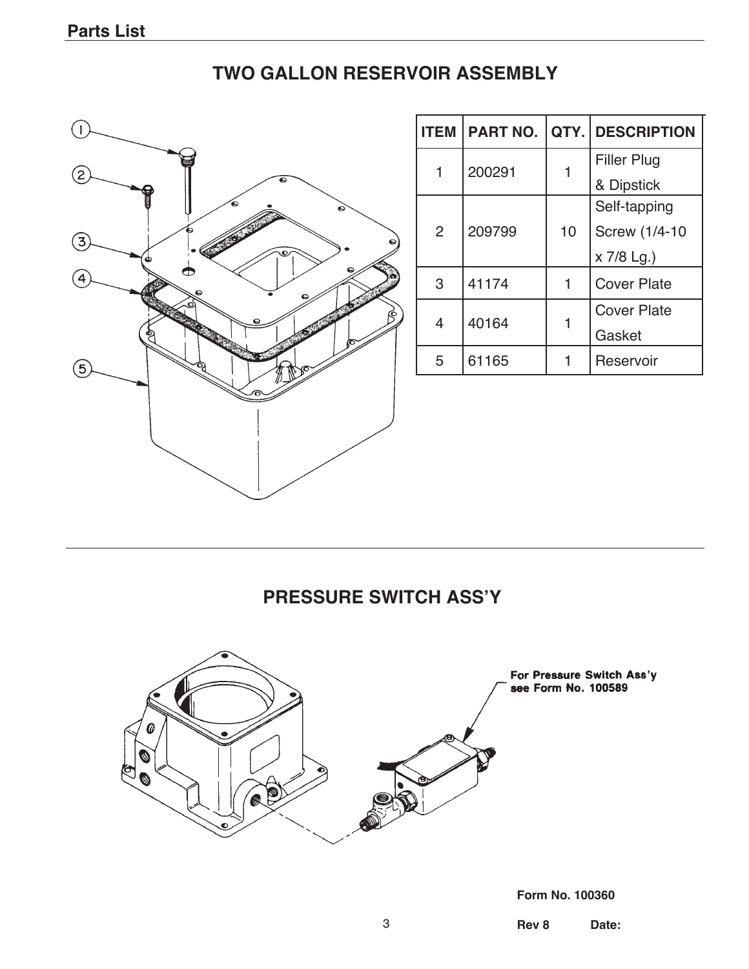# **TWO GALLON RESERVOIR ASSEMBLY**



| <b>ITEM</b> | <b>PART NO.</b> | QTY.I | <b>DESCRIPTION</b> |
|-------------|-----------------|-------|--------------------|
| 1           | 200291          |       | <b>Filler Plug</b> |
|             |                 |       | & Dipstick         |
|             |                 |       | Self-tapping       |
| 2           | 209799          | 10    | Screw (1/4-10      |
|             |                 |       | x 7/8 Lg.)         |
| 3           | 41174           | 1     | <b>Cover Plate</b> |
|             |                 |       | <b>Cover Plate</b> |
| 4           | 40164           |       | Gasket             |
| 5           | 61165           |       | Reservoir          |

# **PRESSURE SWITCH ASS'Y**

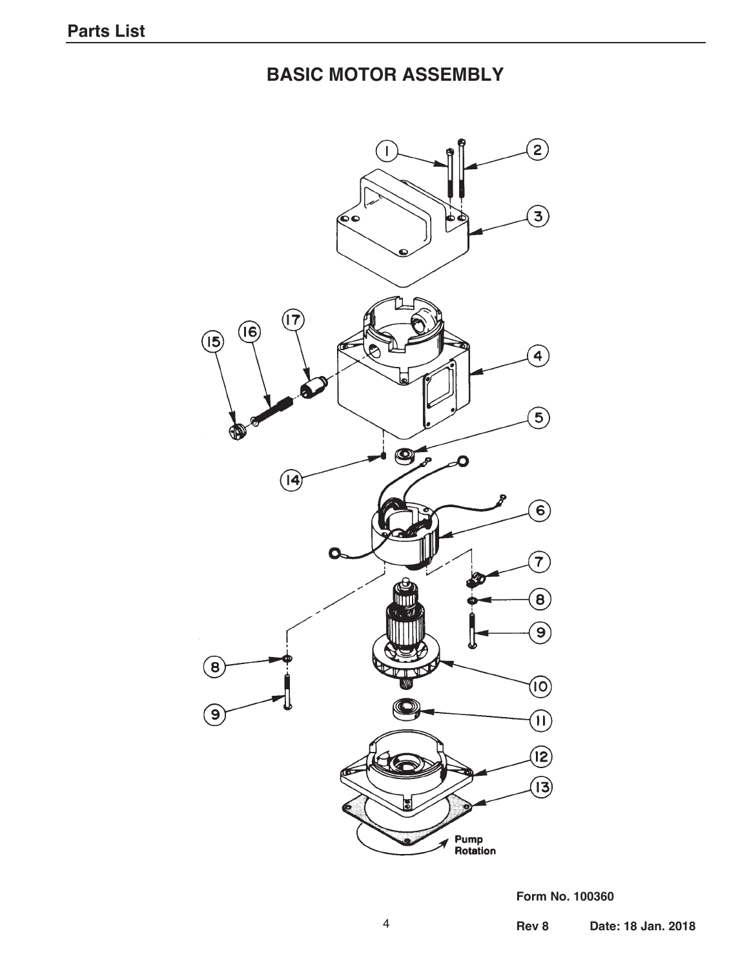# **BASIC MOTOR ASSEMBLY**

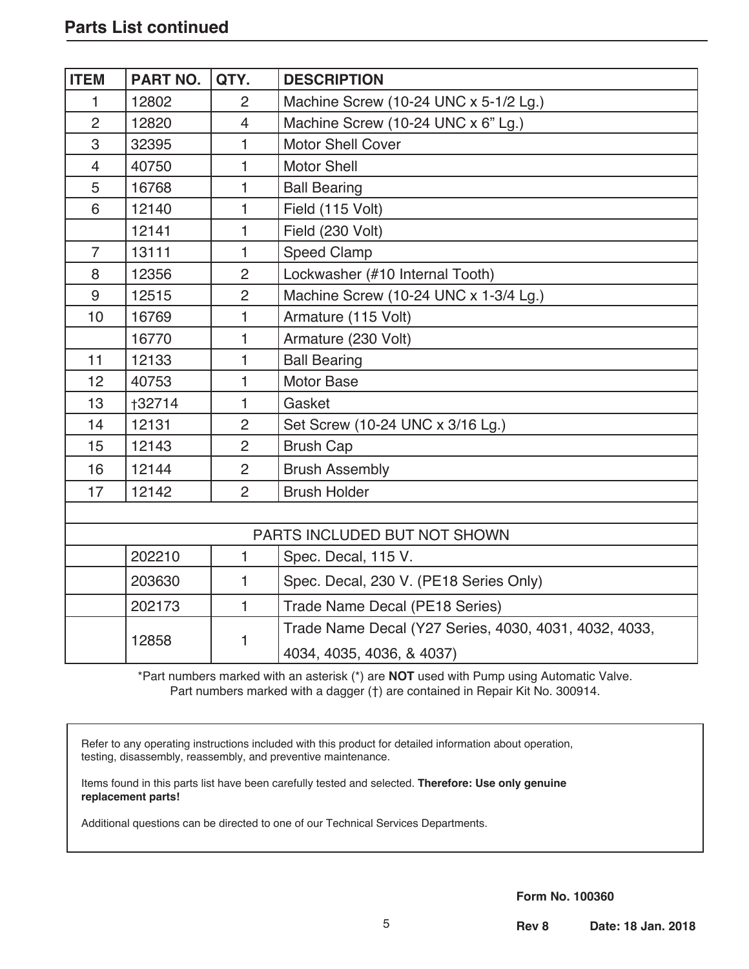| <b>ITEM</b>    | <b>PART NO.</b> | QTY.           | <b>DESCRIPTION</b>                                    |
|----------------|-----------------|----------------|-------------------------------------------------------|
| 1              | 12802           | $\overline{2}$ | Machine Screw (10-24 UNC x 5-1/2 Lg.)                 |
| $\overline{2}$ | 12820           | $\overline{4}$ | Machine Screw (10-24 UNC x 6" Lg.)                    |
| 3              | 32395           | 1              | <b>Motor Shell Cover</b>                              |
| $\overline{4}$ | 40750           | 1              | <b>Motor Shell</b>                                    |
| 5              | 16768           | 1              | <b>Ball Bearing</b>                                   |
| 6              | 12140           | 1              | Field (115 Volt)                                      |
|                | 12141           | $\blacksquare$ | Field (230 Volt)                                      |
| $\overline{7}$ | 13111           | 1              | <b>Speed Clamp</b>                                    |
| 8              | 12356           | $\overline{2}$ | Lockwasher (#10 Internal Tooth)                       |
| 9              | 12515           | $\overline{2}$ | Machine Screw (10-24 UNC x 1-3/4 Lg.)                 |
| 10             | 16769           | 1              | Armature (115 Volt)                                   |
|                | 16770           | 1              | Armature (230 Volt)                                   |
| 11             | 12133           | $\blacksquare$ | <b>Ball Bearing</b>                                   |
| 12             | 40753           | 1              | <b>Motor Base</b>                                     |
| 13             | +32714          | 1              | Gasket                                                |
| 14             | 12131           | $\overline{2}$ | Set Screw (10-24 UNC x 3/16 Lg.)                      |
| 15             | 12143           | $\overline{2}$ | <b>Brush Cap</b>                                      |
| 16             | 12144           | $\overline{2}$ | <b>Brush Assembly</b>                                 |
| 17             | 12142           | $\overline{2}$ | <b>Brush Holder</b>                                   |
|                |                 |                |                                                       |
|                |                 |                | PARTS INCLUDED BUT NOT SHOWN                          |
|                | 202210          | $\mathbf{1}$   | Spec. Decal, 115 V.                                   |
|                | 203630          | 1              | Spec. Decal, 230 V. (PE18 Series Only)                |
|                | 202173          | $\mathbf{1}$   | Trade Name Decal (PE18 Series)                        |
|                |                 |                | Trade Name Decal (Y27 Series, 4030, 4031, 4032, 4033, |
|                | 12858           | 1              | 4034, 4035, 4036, & 4037)                             |

\*Part numbers marked with an asterisk (\*) are **NOT** used with Pump using Automatic Valve. Part numbers marked with a dagger (†) are contained in Repair Kit No. 300914.

 Refer to any operating instructions included with this product for detailed information about operation, testing, disassembly, reassembly, and preventive maintenance.

 Items found in this parts list have been carefully tested and selected. **Therefore: Use only genuine replacement parts!**

Additional questions can be directed to one of our Technical Services Departments.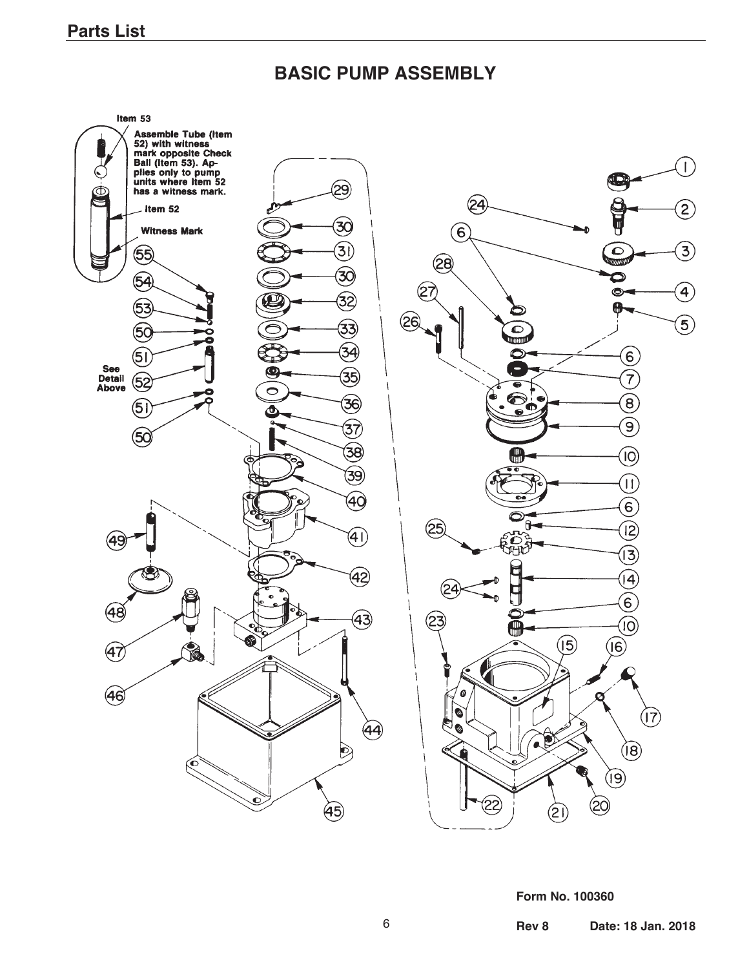### **BASIC PUMP ASSEMBLY**

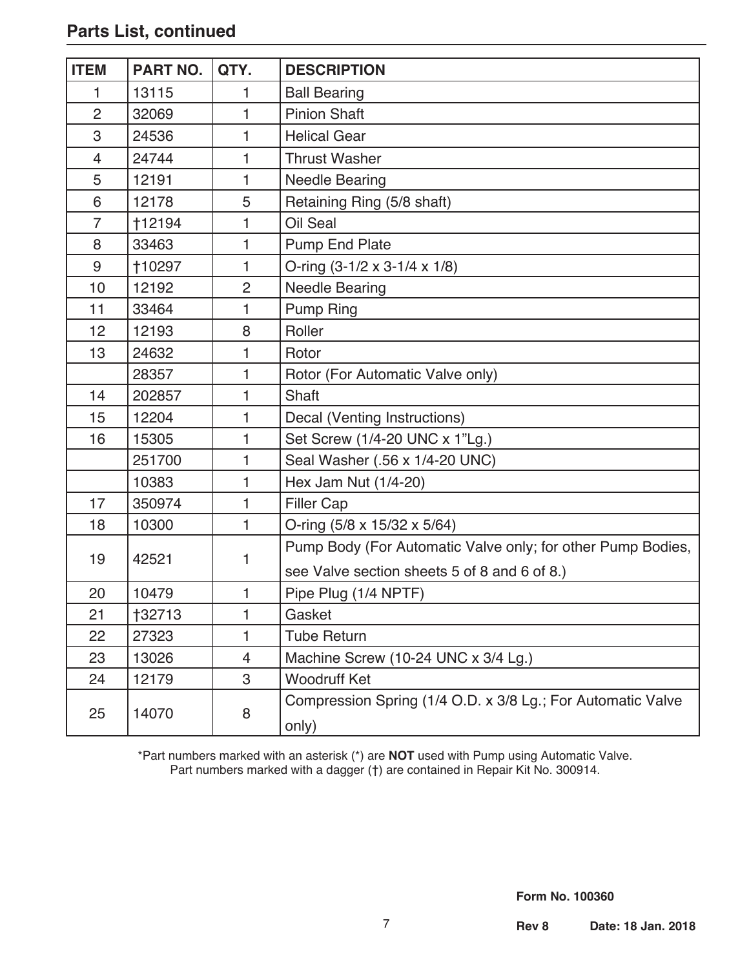| <b>ITEM</b>    | <b>PART NO.</b> | QTY.           | <b>DESCRIPTION</b>                                                   |
|----------------|-----------------|----------------|----------------------------------------------------------------------|
| 1.             | 13115           | 1              | <b>Ball Bearing</b>                                                  |
| $\overline{2}$ | 32069           | 1              | <b>Pinion Shaft</b>                                                  |
| 3              | 24536           | 1              | <b>Helical Gear</b>                                                  |
| $\overline{4}$ | 24744           | 1              | <b>Thrust Washer</b>                                                 |
| 5              | 12191           | 1              | <b>Needle Bearing</b>                                                |
| 6              | 12178           | 5              | Retaining Ring (5/8 shaft)                                           |
| 7              | <b>†12194</b>   | 1              | Oil Seal                                                             |
| 8              | 33463           | 1              | Pump End Plate                                                       |
| 9              | <b>†10297</b>   | 1              | O-ring (3-1/2 x 3-1/4 x 1/8)                                         |
| 10             | 12192           | $\overline{2}$ | <b>Needle Bearing</b>                                                |
| 11             | 33464           | 1              | Pump Ring                                                            |
| 12             | 12193           | 8              | Roller                                                               |
| 13             | 24632           | 1              | Rotor                                                                |
|                | 28357           | 1              | Rotor (For Automatic Valve only)                                     |
| 14             | 202857          | 1              | <b>Shaft</b>                                                         |
| 15             | 12204           | 1              | Decal (Venting Instructions)                                         |
| 16             | 15305           | 1              | Set Screw (1/4-20 UNC x 1"Lg.)                                       |
|                | 251700          | 1              | Seal Washer (.56 x 1/4-20 UNC)                                       |
|                | 10383           | 1              | Hex Jam Nut (1/4-20)                                                 |
| 17             | 350974          | 1              | <b>Filler Cap</b>                                                    |
| 18             | 10300           | 1              | O-ring (5/8 x 15/32 x 5/64)                                          |
|                |                 |                | Pump Body (For Automatic Valve only; for other Pump Bodies,          |
| 19             | 42521           | 1              | see Valve section sheets 5 of 8 and 6 of 8.)                         |
| 20             | 10479           | 1              | Pipe Plug (1/4 NPTF)                                                 |
| 21             | †32713          | 1              | Gasket                                                               |
| 22             | 27323           | 1              | <b>Tube Return</b>                                                   |
| 23             | 13026           | 4              | Machine Screw (10-24 UNC x 3/4 Lg.)                                  |
| 24             | 12179           | 3              | <b>Woodruff Ket</b>                                                  |
| 25             | 14070           | 8              | Compression Spring (1/4 O.D. x 3/8 Lg.; For Automatic Valve<br>only) |

\*Part numbers marked with an asterisk (\*) are **NOT** used with Pump using Automatic Valve. Part numbers marked with a dagger (†) are contained in Repair Kit No. 300914.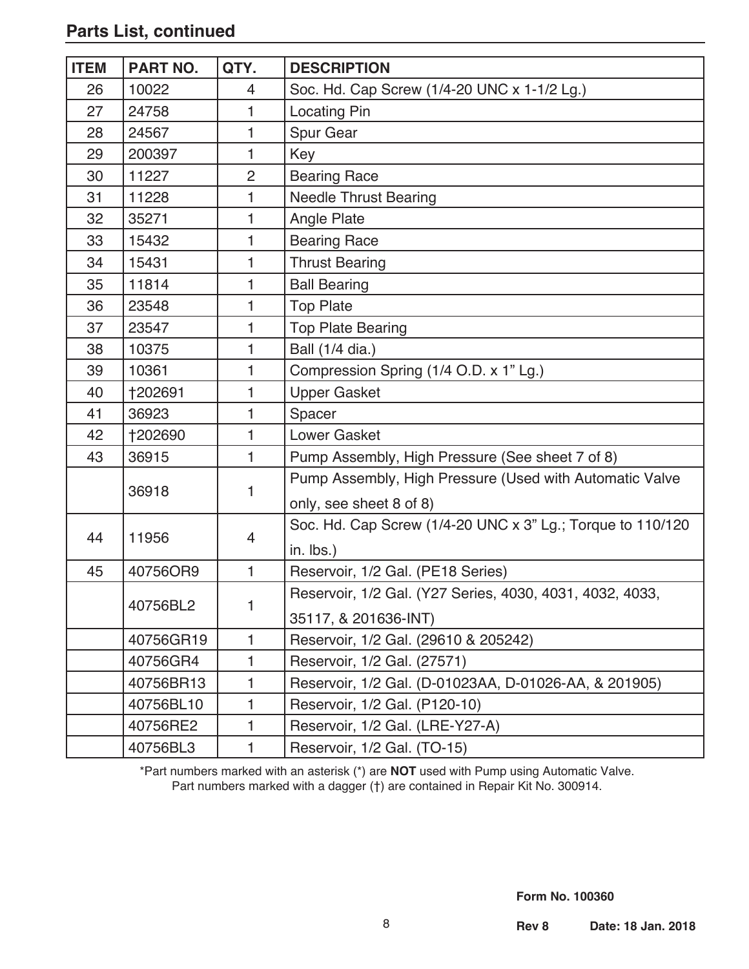| <b>ITEM</b> | <b>PART NO.</b> | QTY.           | <b>DESCRIPTION</b>                                         |
|-------------|-----------------|----------------|------------------------------------------------------------|
| 26          | 10022           | 4              | Soc. Hd. Cap Screw (1/4-20 UNC x 1-1/2 Lg.)                |
| 27          | 24758           | 1              | <b>Locating Pin</b>                                        |
| 28          | 24567           | 1              | Spur Gear                                                  |
| 29          | 200397          | 1              | Key                                                        |
| 30          | 11227           | $\overline{2}$ | <b>Bearing Race</b>                                        |
| 31          | 11228           | 1              | <b>Needle Thrust Bearing</b>                               |
| 32          | 35271           | 1              | Angle Plate                                                |
| 33          | 15432           | 1              | <b>Bearing Race</b>                                        |
| 34          | 15431           | 1              | <b>Thrust Bearing</b>                                      |
| 35          | 11814           | 1              | <b>Ball Bearing</b>                                        |
| 36          | 23548           | 1              | <b>Top Plate</b>                                           |
| 37          | 23547           | 1              | <b>Top Plate Bearing</b>                                   |
| 38          | 10375           | 1              | Ball (1/4 dia.)                                            |
| 39          | 10361           | 1              | Compression Spring (1/4 O.D. x 1" Lg.)                     |
| 40          | <b>†202691</b>  | 1              | <b>Upper Gasket</b>                                        |
| 41          | 36923           | 1              | Spacer                                                     |
| 42          | †202690         | 1              | Lower Gasket                                               |
| 43          | 36915           | 1              | Pump Assembly, High Pressure (See sheet 7 of 8)            |
|             |                 | 1              | Pump Assembly, High Pressure (Used with Automatic Valve    |
|             | 36918           |                | only, see sheet 8 of 8)                                    |
|             |                 |                | Soc. Hd. Cap Screw (1/4-20 UNC x 3" Lg.; Torque to 110/120 |
| 44          | 11956           | 4              | $in.$ lbs.)                                                |
| 45          | 40756OR9        | 1              | Reservoir, 1/2 Gal. (PE18 Series)                          |
|             |                 |                | Reservoir, 1/2 Gal. (Y27 Series, 4030, 4031, 4032, 4033,   |
|             | 40756BL2        | 1              | 35117, & 201636-INT)                                       |
|             | 40756GR19       | 1.             | Reservoir, 1/2 Gal. (29610 & 205242)                       |
|             | 40756GR4        | 1              | Reservoir, 1/2 Gal. (27571)                                |
|             | 40756BR13       | 1              | Reservoir, 1/2 Gal. (D-01023AA, D-01026-AA, & 201905)      |
|             | 40756BL10       | 1              | Reservoir, 1/2 Gal. (P120-10)                              |
|             | 40756RE2        | 1              | Reservoir, 1/2 Gal. (LRE-Y27-A)                            |
|             | 40756BL3        | 1              | Reservoir, 1/2 Gal. (TO-15)                                |

#### **Parts List, continued**

\*Part numbers marked with an asterisk (\*) are **NOT** used with Pump using Automatic Valve. Part numbers marked with a dagger (†) are contained in Repair Kit No. 300914.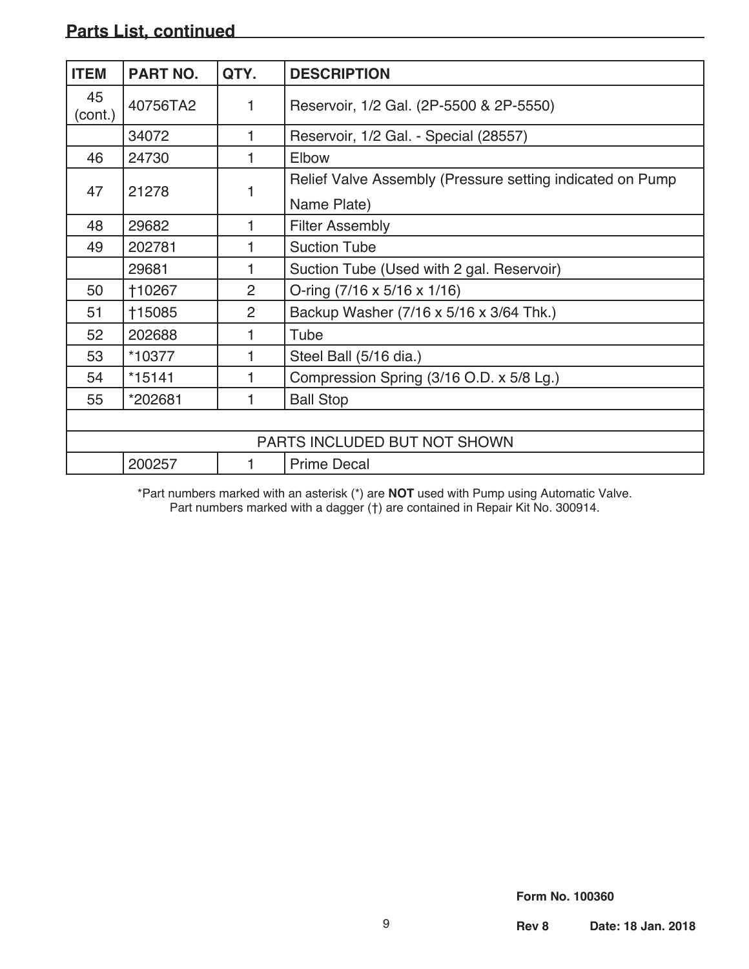# **Parts List, continued**

| <b>ITEM</b>   | <b>PART NO.</b>              | QTY.           | <b>DESCRIPTION</b>                                        |  |  |
|---------------|------------------------------|----------------|-----------------------------------------------------------|--|--|
| 45<br>(cont.) | 40756TA2                     | 1              | Reservoir, 1/2 Gal. (2P-5500 & 2P-5550)                   |  |  |
|               | 34072                        | 1              | Reservoir, 1/2 Gal. - Special (28557)                     |  |  |
| 46            | 24730                        | 1              | Elbow                                                     |  |  |
|               |                              |                | Relief Valve Assembly (Pressure setting indicated on Pump |  |  |
| 47            | 21278                        |                | Name Plate)                                               |  |  |
| 48            | 29682                        | 1              | <b>Filter Assembly</b>                                    |  |  |
| 49            | 202781                       |                | <b>Suction Tube</b>                                       |  |  |
|               | 29681                        | 1              | Suction Tube (Used with 2 gal. Reservoir)                 |  |  |
| 50            | <b>†10267</b>                | $\overline{2}$ | O-ring $(7/16 \times 5/16 \times 1/16)$                   |  |  |
| 51            | <b>†15085</b>                | 2              | Backup Washer (7/16 x 5/16 x 3/64 Thk.)                   |  |  |
| 52            | 202688                       |                | Tube                                                      |  |  |
| 53            | *10377                       | 1              | Steel Ball (5/16 dia.)                                    |  |  |
| 54            | $*15141$                     |                | Compression Spring (3/16 O.D. x 5/8 Lg.)                  |  |  |
| 55            | *202681                      | 1              | <b>Ball Stop</b>                                          |  |  |
|               |                              |                |                                                           |  |  |
|               | PARTS INCLUDED BUT NOT SHOWN |                |                                                           |  |  |
|               | 200257                       | 1              | <b>Prime Decal</b>                                        |  |  |

\*Part numbers marked with an asterisk (\*) are **NOT** used with Pump using Automatic Valve. Part numbers marked with a dagger (†) are contained in Repair Kit No. 300914.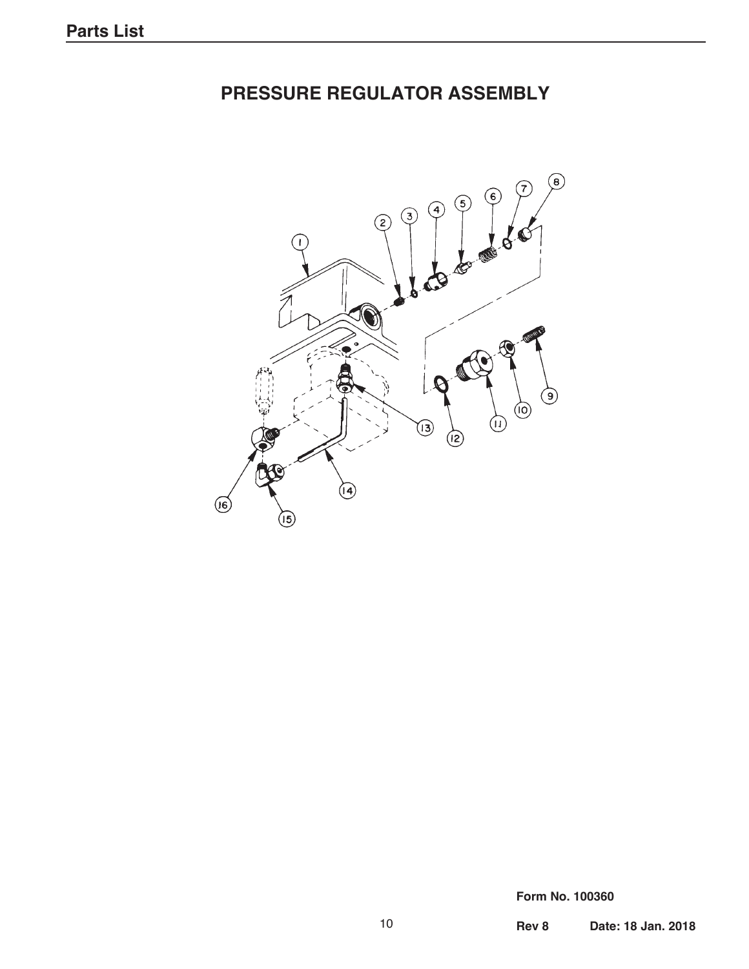# **PRESSURE REGULATOR ASSEMBLY**

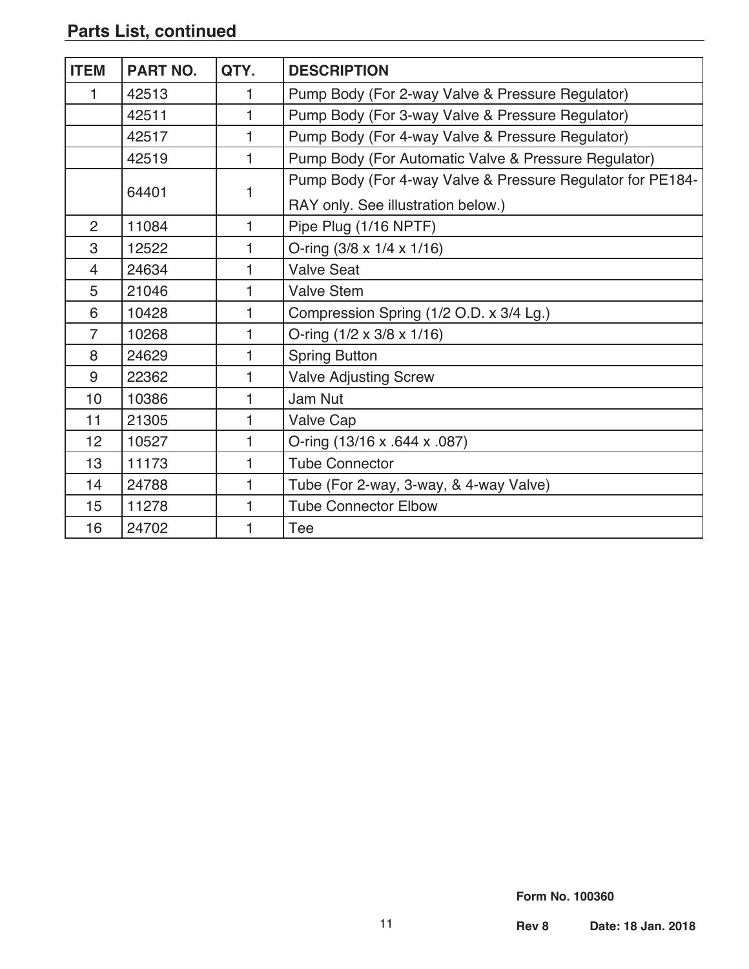# **Parts List, continued**

| <b>ITEM</b>     | <b>PART NO.</b> | QTY.         | <b>DESCRIPTION</b>                                         |
|-----------------|-----------------|--------------|------------------------------------------------------------|
| 1               | 42513           | 1            | Pump Body (For 2-way Valve & Pressure Regulator)           |
|                 | 42511           | 1            | Pump Body (For 3-way Valve & Pressure Regulator)           |
|                 | 42517           | 1            | Pump Body (For 4-way Valve & Pressure Regulator)           |
|                 | 42519           | $\mathbf{1}$ | Pump Body (For Automatic Valve & Pressure Regulator)       |
|                 |                 |              | Pump Body (For 4-way Valve & Pressure Regulator for PE184- |
|                 | 64401           | 1            | RAY only. See illustration below.)                         |
| $\overline{2}$  | 11084           | $\mathbf{1}$ | Pipe Plug (1/16 NPTF)                                      |
| 3               | 12522           | 1            | O-ring $(3/8 \times 1/4 \times 1/16)$                      |
| 4               | 24634           | 1            | <b>Valve Seat</b>                                          |
| 5               | 21046           | 1            | <b>Valve Stem</b>                                          |
| 6               | 10428           | 1            | Compression Spring (1/2 O.D. x 3/4 Lg.)                    |
| 7               | 10268           | 1            | O-ring $(1/2 \times 3/8 \times 1/16)$                      |
| 8               | 24629           | 1            | <b>Spring Button</b>                                       |
| 9               | 22362           | 1            | <b>Valve Adjusting Screw</b>                               |
| 10              | 10386           | 1            | Jam Nut                                                    |
| 11              | 21305           | 1            | Valve Cap                                                  |
| 12 <sub>2</sub> | 10527           | 1            | O-ring (13/16 x .644 x .087)                               |
| 13              | 11173           | 1            | <b>Tube Connector</b>                                      |
| 14              | 24788           | 1            | Tube (For 2-way, 3-way, & 4-way Valve)                     |
| 15              | 11278           | 1            | <b>Tube Connector Elbow</b>                                |
| 16              | 24702           | 1            | Tee                                                        |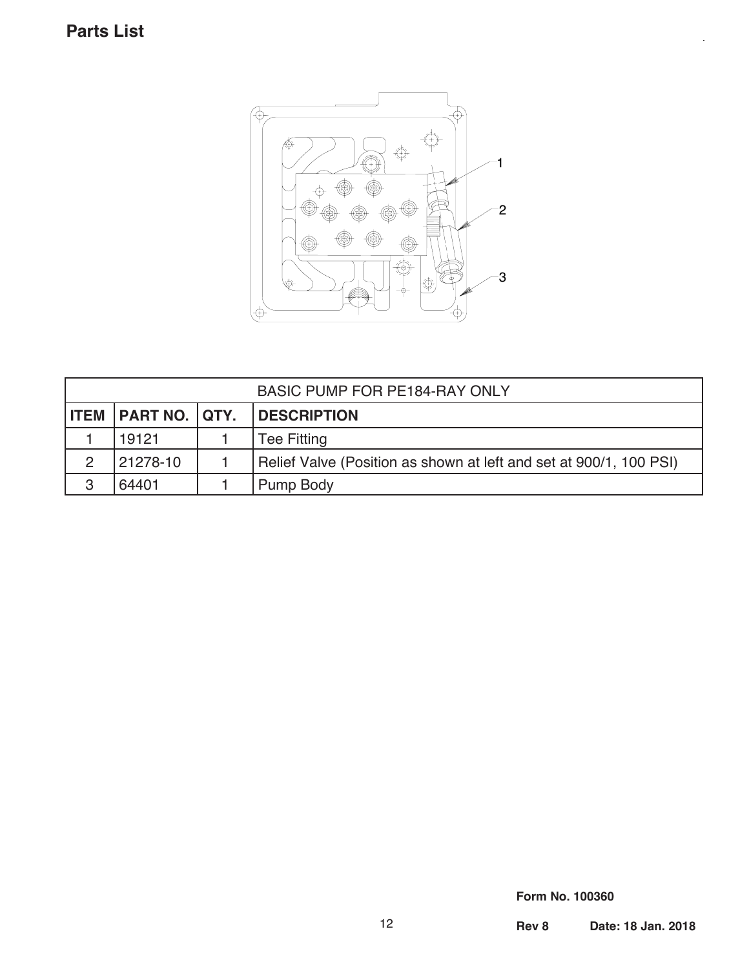# **Parts List**



|             | <b>BASIC PUMP FOR PE184-RAY ONLY</b> |  |                                                                    |  |  |
|-------------|--------------------------------------|--|--------------------------------------------------------------------|--|--|
| <b>ITEM</b> | <b>PART NO. QTY.</b>                 |  | <b>DESCRIPTION</b>                                                 |  |  |
|             | 19121                                |  | Tee Fitting                                                        |  |  |
|             | 21278-10                             |  | Relief Valve (Position as shown at left and set at 900/1, 100 PSI) |  |  |
| 3           | 64401                                |  | Pump Body                                                          |  |  |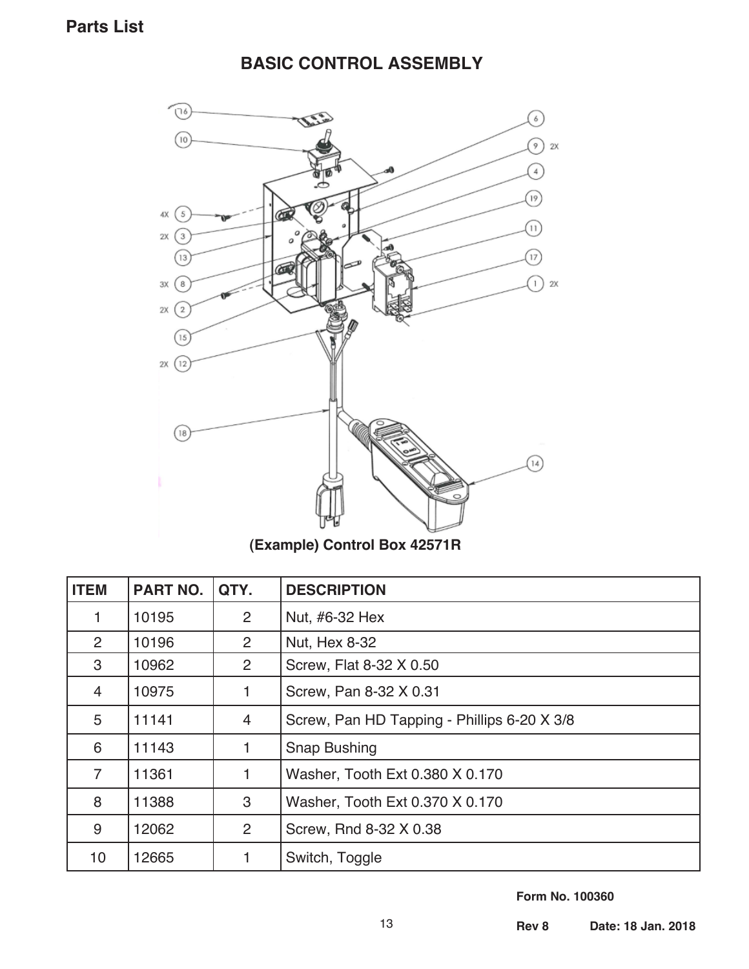**BASIC CONTROL ASSEMBLY** 



**(Example) Control Box 42571R**

| <b>ITEM</b>     | <b>PART NO.</b> | QTY.           | <b>DESCRIPTION</b>                          |
|-----------------|-----------------|----------------|---------------------------------------------|
| 1               | 10195           | 2              | Nut, #6-32 Hex                              |
| $\overline{2}$  | 10196           | 2              | Nut, Hex 8-32                               |
| 3               | 10962           | 2              | Screw, Flat 8-32 X 0.50                     |
| $\overline{4}$  | 10975           |                | Screw, Pan 8-32 X 0.31                      |
| 5               | 11141           | $\overline{4}$ | Screw, Pan HD Tapping - Phillips 6-20 X 3/8 |
| 6               | 11143           | 1              | <b>Snap Bushing</b>                         |
| $\overline{7}$  | 11361           | 1              | Washer, Tooth Ext 0.380 X 0.170             |
| 8               | 11388           | 3              | Washer, Tooth Ext 0.370 X 0.170             |
| 9               | 12062           | 2              | Screw, Rnd 8-32 X 0.38                      |
| 10 <sup>1</sup> | 12665           |                | Switch, Toggle                              |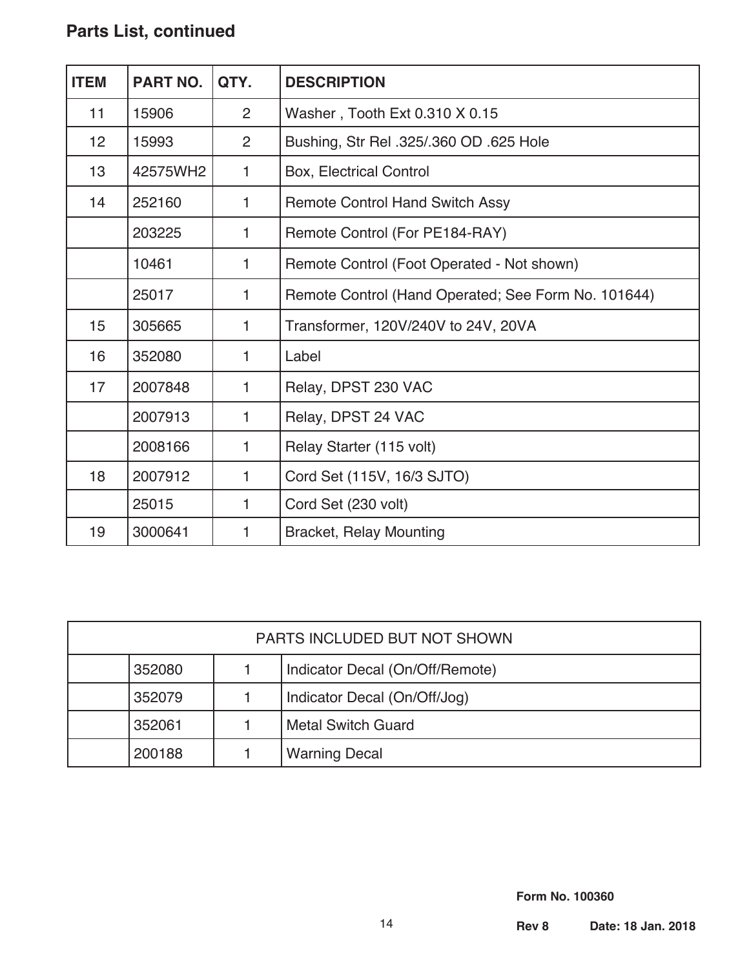# **Parts List, continued**

| <b>ITEM</b> | <b>PART NO.</b> | QTY.           | <b>DESCRIPTION</b>                                  |
|-------------|-----------------|----------------|-----------------------------------------------------|
| 11          | 15906           | $\overline{2}$ | Washer, Tooth Ext 0.310 X 0.15                      |
| 12          | 15993           | 2              | Bushing, Str Rel .325/.360 OD .625 Hole             |
| 13          | 42575WH2        | $\mathbf{1}$   | <b>Box, Electrical Control</b>                      |
| 14          | 252160          | 1              | <b>Remote Control Hand Switch Assy</b>              |
|             | 203225          | 1              | Remote Control (For PE184-RAY)                      |
|             | 10461           | 1              | Remote Control (Foot Operated - Not shown)          |
|             | 25017           | 1              | Remote Control (Hand Operated; See Form No. 101644) |
| 15          | 305665          | $\mathbf{1}$   | Transformer, 120V/240V to 24V, 20VA                 |
| 16          | 352080          | 1              | Label                                               |
| 17          | 2007848         | 1              | Relay, DPST 230 VAC                                 |
|             | 2007913         | 1              | Relay, DPST 24 VAC                                  |
|             | 2008166         | 1              | Relay Starter (115 volt)                            |
| 18          | 2007912         | $\mathbf{1}$   | Cord Set (115V, 16/3 SJTO)                          |
|             | 25015           | 1              | Cord Set (230 volt)                                 |
| 19          | 3000641         | 1              | <b>Bracket, Relay Mounting</b>                      |

| PARTS INCLUDED BUT NOT SHOWN |        |  |                                 |
|------------------------------|--------|--|---------------------------------|
|                              | 352080 |  | Indicator Decal (On/Off/Remote) |
|                              | 352079 |  | Indicator Decal (On/Off/Jog)    |
|                              | 352061 |  | <b>Metal Switch Guard</b>       |
|                              | 200188 |  | <b>Warning Decal</b>            |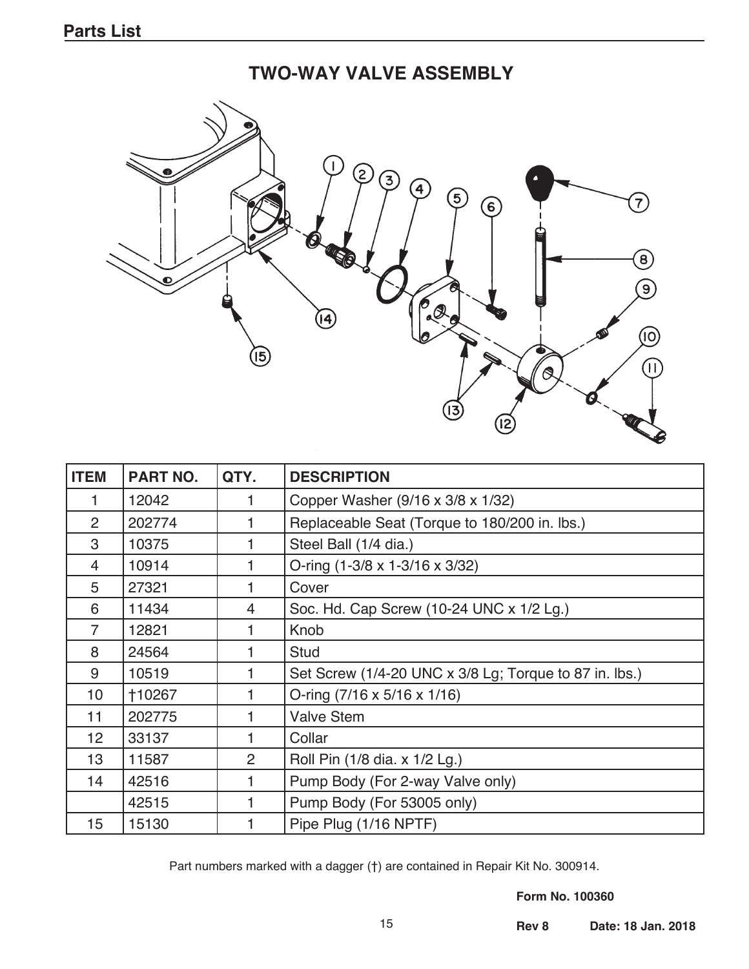# **TWO-WAY VALVE ASSEMBLY**



| <b>ITEM</b>     | <b>PART NO.</b> | QTY. | <b>DESCRIPTION</b>                                     |
|-----------------|-----------------|------|--------------------------------------------------------|
|                 | 12042           |      | Copper Washer (9/16 x 3/8 x 1/32)                      |
| 2               | 202774          |      | Replaceable Seat (Torque to 180/200 in. lbs.)          |
| 3               | 10375           |      | Steel Ball (1/4 dia.)                                  |
| $\overline{4}$  | 10914           | 1    | O-ring (1-3/8 x 1-3/16 x 3/32)                         |
| 5               | 27321           | 1    | Cover                                                  |
| 6               | 11434           | 4    | Soc. Hd. Cap Screw (10-24 UNC x 1/2 Lg.)               |
| 7               | 12821           |      | Knob                                                   |
| 8               | 24564           |      | <b>Stud</b>                                            |
| 9               | 10519           | 1    | Set Screw (1/4-20 UNC x 3/8 Lg; Torque to 87 in. lbs.) |
| 10 <sup>1</sup> | <b>†10267</b>   | 1    | O-ring $(7/16 \times 5/16 \times 1/16)$                |
| 11              | 202775          |      | <b>Valve Stem</b>                                      |
| 12 <sub>2</sub> | 33137           |      | Collar                                                 |
| 13              | 11587           | 2    | Roll Pin (1/8 dia. x 1/2 Lg.)                          |
| 14              | 42516           | 1    | Pump Body (For 2-way Valve only)                       |
|                 | 42515           |      | Pump Body (For 53005 only)                             |
| 15              | 15130           |      | Pipe Plug (1/16 NPTF)                                  |

Part numbers marked with a dagger (†) are contained in Repair Kit No. 300914.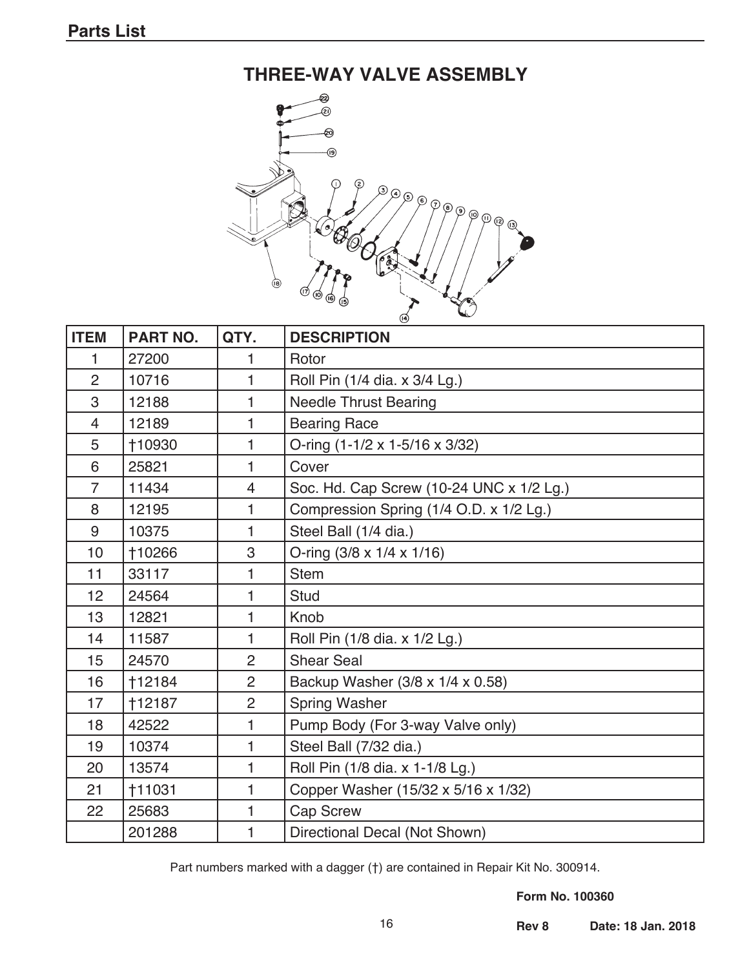# **THREE-WAY VALVE ASSEMBLY**



| <b>ITEM</b>    | <b>PART NO.</b> | QTY.           | <b>DESCRIPTION</b>                       |
|----------------|-----------------|----------------|------------------------------------------|
| 1              | 27200           | 1              | Rotor                                    |
| $\overline{2}$ | 10716           | 1              | Roll Pin (1/4 dia. x 3/4 Lg.)            |
| 3              | 12188           | 1              | <b>Needle Thrust Bearing</b>             |
| $\overline{4}$ | 12189           | 1              | <b>Bearing Race</b>                      |
| 5              | <b>†10930</b>   | 1              | O-ring (1-1/2 x 1-5/16 x 3/32)           |
| 6              | 25821           | 1              | Cover                                    |
| $\overline{7}$ | 11434           | $\overline{4}$ | Soc. Hd. Cap Screw (10-24 UNC x 1/2 Lg.) |
| 8              | 12195           | 1              | Compression Spring (1/4 O.D. x 1/2 Lg.)  |
| 9              | 10375           | 1              | Steel Ball (1/4 dia.)                    |
| 10             | †10266          | 3              | O-ring (3/8 x 1/4 x 1/16)                |
| 11             | 33117           | 1              | <b>Stem</b>                              |
| 12             | 24564           | 1              | <b>Stud</b>                              |
| 13             | 12821           | 1              | Knob                                     |
| 14             | 11587           | 1              | Roll Pin (1/8 dia. x 1/2 Lg.)            |
| 15             | 24570           | $\overline{2}$ | <b>Shear Seal</b>                        |
| 16             | <b>†12184</b>   | $\overline{2}$ | Backup Washer (3/8 x 1/4 x 0.58)         |
| 17             | †12187          | $\overline{2}$ | <b>Spring Washer</b>                     |
| 18             | 42522           | 1              | Pump Body (For 3-way Valve only)         |
| 19             | 10374           | 1              | Steel Ball (7/32 dia.)                   |
| 20             | 13574           | 1              | Roll Pin (1/8 dia. x 1-1/8 Lg.)          |
| 21             | †11031          | 1              | Copper Washer (15/32 x 5/16 x 1/32)      |
| 22             | 25683           | 1              | Cap Screw                                |
|                | 201288          | 1              | Directional Decal (Not Shown)            |

Part numbers marked with a dagger (†) are contained in Repair Kit No. 300914.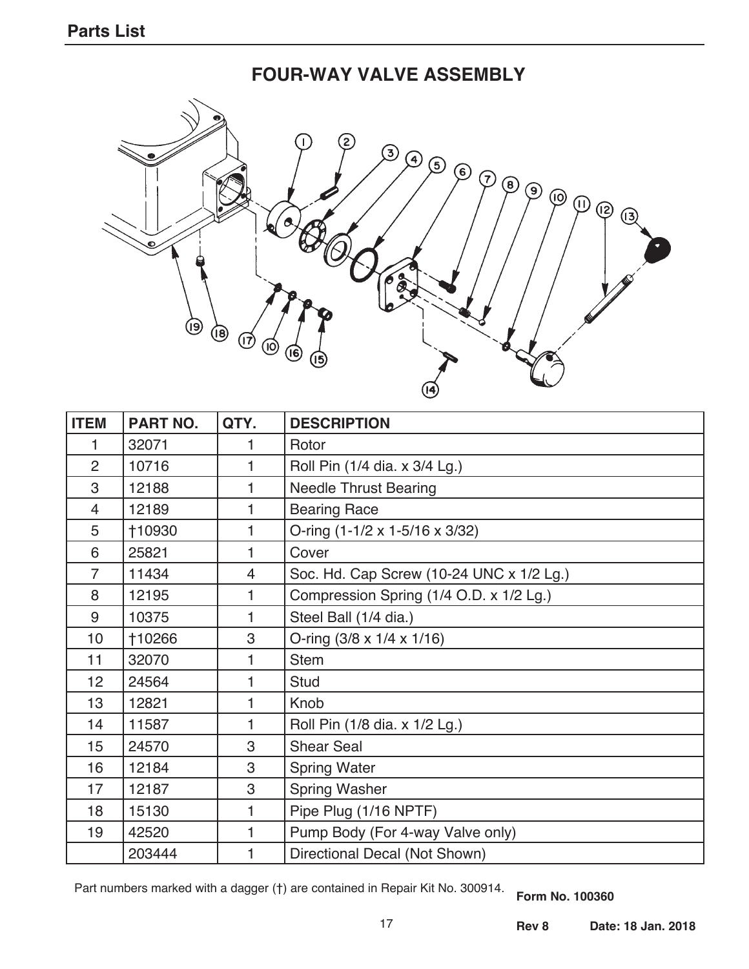# **FOUR-WAY VALVE ASSEMBLY**  $\mathbf{[2]}$  $\odot$  $\bigoplus$  $\sqrt{5}$   $\odot$  $\odot$  $\begin{pmatrix} 9 & 9 & 9 \ 9 & 9 & 9 \end{pmatrix}$  $\circledcirc$  $\sqrt{3}$ (၉) (၉)  $\circled{r}$

| <b>ITEM</b>    | <b>PART NO.</b> | QTY.           | <b>DESCRIPTION</b>                       |
|----------------|-----------------|----------------|------------------------------------------|
| 1              | 32071           |                | Rotor                                    |
| $\overline{2}$ | 10716           | 1              | Roll Pin (1/4 dia. x 3/4 Lg.)            |
| 3              | 12188           | 1              | <b>Needle Thrust Bearing</b>             |
| 4              | 12189           | 1              | <b>Bearing Race</b>                      |
| 5              | <b>†10930</b>   | 1              | O-ring (1-1/2 x 1-5/16 x 3/32)           |
| 6              | 25821           | 1              | Cover                                    |
| $\overline{7}$ | 11434           | $\overline{4}$ | Soc. Hd. Cap Screw (10-24 UNC x 1/2 Lg.) |
| 8              | 12195           | 1              | Compression Spring (1/4 O.D. x 1/2 Lg.)  |
| 9              | 10375           | 1              | Steel Ball (1/4 dia.)                    |
| 10             | †10266          | 3              | O-ring (3/8 x 1/4 x 1/16)                |
| 11             | 32070           | 1              | <b>Stem</b>                              |
| 12             | 24564           | 1              | <b>Stud</b>                              |
| 13             | 12821           | 1              | Knob                                     |
| 14             | 11587           | 1              | Roll Pin (1/8 dia. x 1/2 Lg.)            |
| 15             | 24570           | 3              | <b>Shear Seal</b>                        |
| 16             | 12184           | 3              | <b>Spring Water</b>                      |
| 17             | 12187           | 3              | <b>Spring Washer</b>                     |
| 18             | 15130           | 1              | Pipe Plug (1/16 NPTF)                    |
| 19             | 42520           | 1              | Pump Body (For 4-way Valve only)         |
|                | 203444          | 1              | Directional Decal (Not Shown)            |

Part numbers marked with a dagger (†) are contained in Repair Kit No. 300914.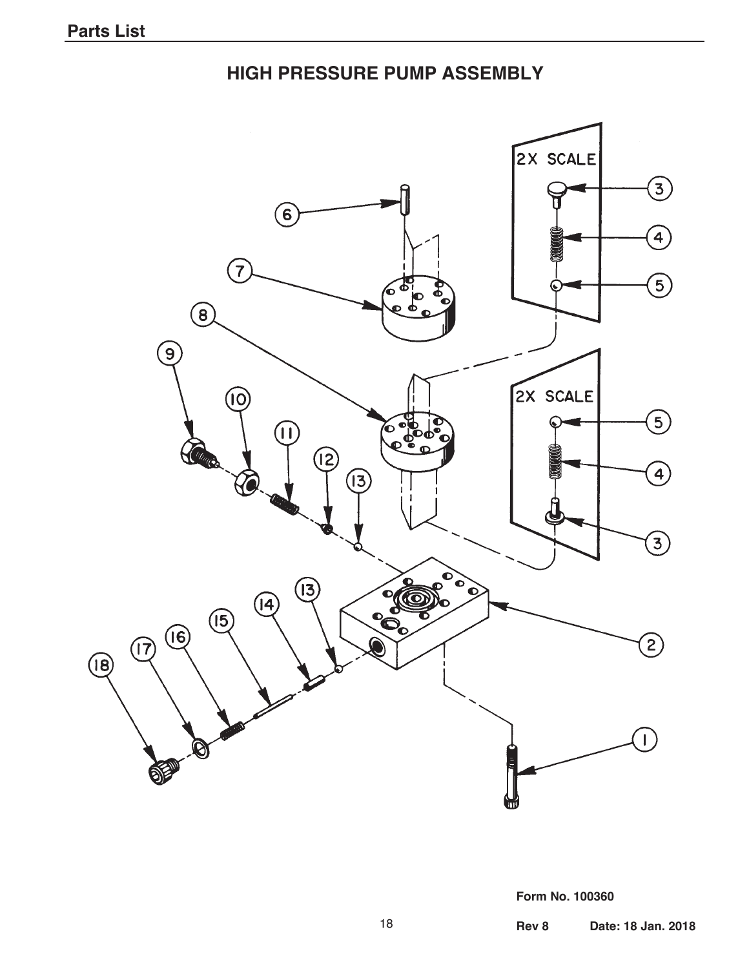**HIGH PRESSURE PUMP ASSEMBLY**

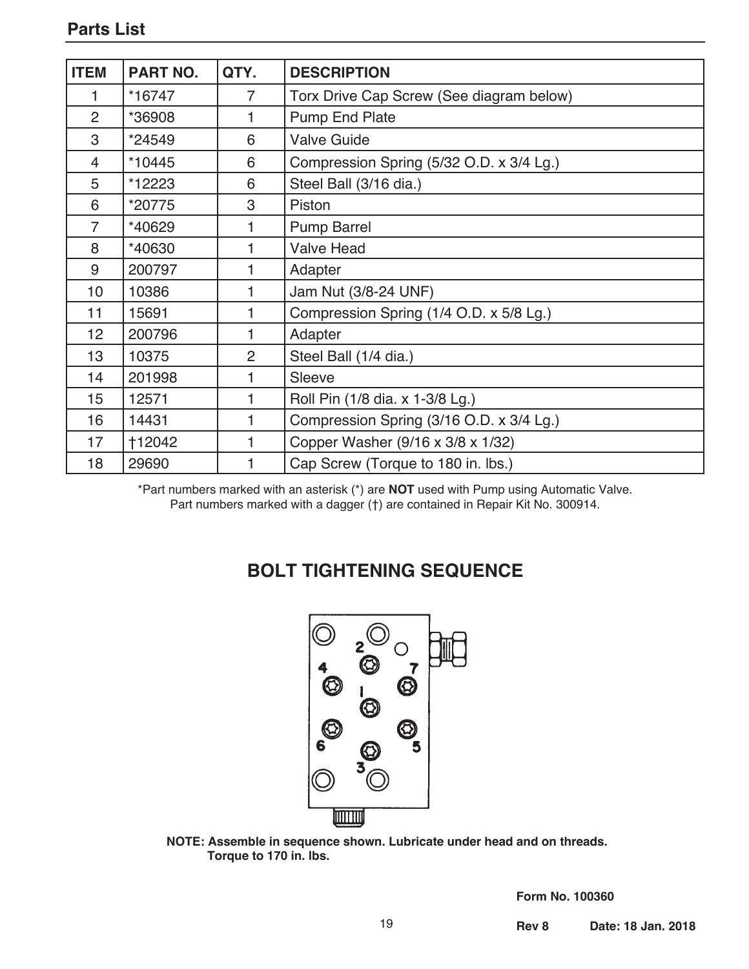### **Parts List**

| <b>ITEM</b>     | <b>PART NO.</b> | QTY.           | <b>DESCRIPTION</b>                       |
|-----------------|-----------------|----------------|------------------------------------------|
| 1               | *16747          | 7              | Torx Drive Cap Screw (See diagram below) |
| $\overline{2}$  | *36908          | 1              | Pump End Plate                           |
| 3               | *24549          | 6              | <b>Valve Guide</b>                       |
| $\overline{4}$  | *10445          | 6              | Compression Spring (5/32 O.D. x 3/4 Lg.) |
| 5               | *12223          | 6              | Steel Ball (3/16 dia.)                   |
| 6               | *20775          | 3              | Piston                                   |
| $\overline{7}$  | *40629          | 1              | <b>Pump Barrel</b>                       |
| 8               | *40630          | 1              | <b>Valve Head</b>                        |
| 9               | 200797          | 1              | Adapter                                  |
| 10              | 10386           | 1              | Jam Nut (3/8-24 UNF)                     |
| 11              | 15691           | 1              | Compression Spring (1/4 O.D. x 5/8 Lg.)  |
| 12 <sub>2</sub> | 200796          | 1              | Adapter                                  |
| 13              | 10375           | $\overline{2}$ | Steel Ball (1/4 dia.)                    |
| 14              | 201998          | 1              | Sleeve                                   |
| 15              | 12571           | 1              | Roll Pin (1/8 dia. x 1-3/8 Lg.)          |
| 16              | 14431           | 1              | Compression Spring (3/16 O.D. x 3/4 Lg.) |
| 17              | <b>†12042</b>   | 1              | Copper Washer (9/16 x 3/8 x 1/32)        |
| 18              | 29690           |                | Cap Screw (Torque to 180 in. lbs.)       |

\*Part numbers marked with an asterisk (\*) are **NOT** used with Pump using Automatic Valve. Part numbers marked with a dagger (†) are contained in Repair Kit No. 300914.

# **BOLT TIGHTENING SEQUENCE**



**NOTE: Assemble in sequence shown. Lubricate under head and on threads. Torque to 170 in. lbs.**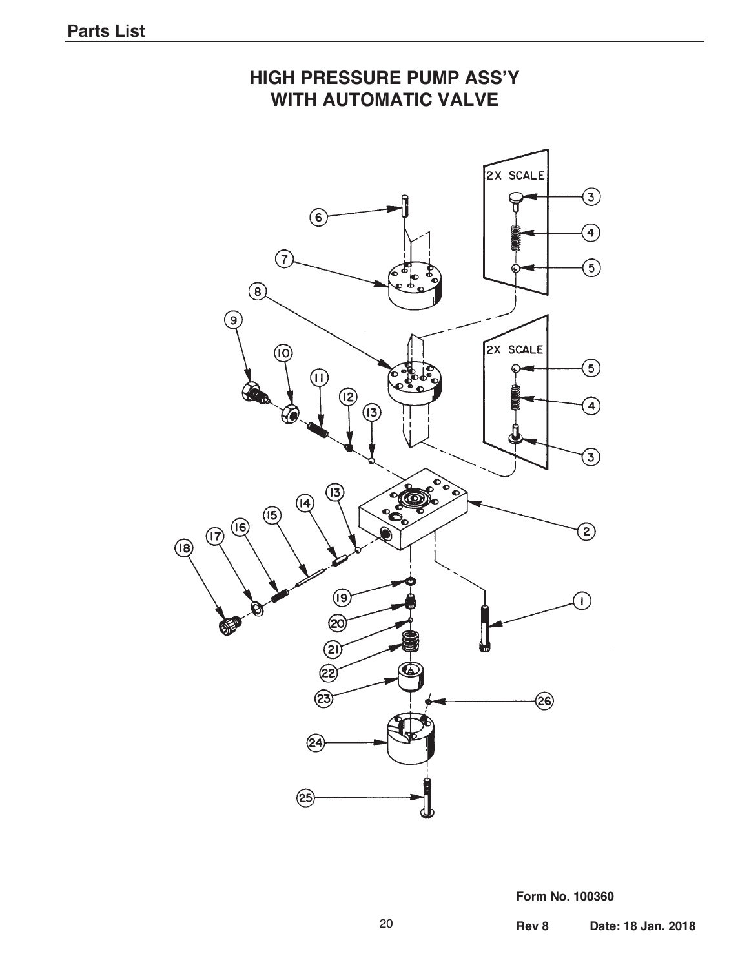

**HIGH PRESSURE PUMP ASS'Y WITH AUTOMATIC VALVE**